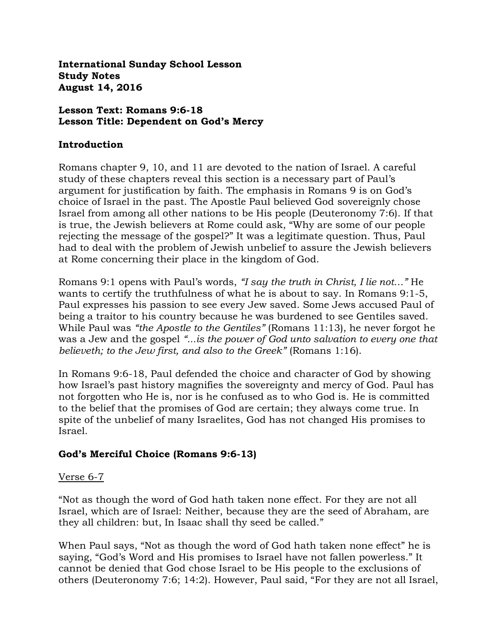**International Sunday School Lesson Study Notes August 14, 2016**

#### **Lesson Text: Romans 9:6-18 Lesson Title: Dependent on God's Mercy**

#### **Introduction**

Romans chapter 9, 10, and 11 are devoted to the nation of Israel. A careful study of these chapters reveal this section is a necessary part of Paul's argument for justification by faith. The emphasis in Romans 9 is on God's choice of Israel in the past. The Apostle Paul believed God sovereignly chose Israel from among all other nations to be His people (Deuteronomy 7:6). If that is true, the Jewish believers at Rome could ask, "Why are some of our people rejecting the message of the gospel?" It was a legitimate question. Thus, Paul had to deal with the problem of Jewish unbelief to assure the Jewish believers at Rome concerning their place in the kingdom of God.

Romans 9:1 opens with Paul's words, *"I say the truth in Christ, I lie not…"* He wants to certify the truthfulness of what he is about to say. In Romans 9:1-5, Paul expresses his passion to see every Jew saved. Some Jews accused Paul of being a traitor to his country because he was burdened to see Gentiles saved. While Paul was *"the Apostle to the Gentiles"* (Romans 11:13), he never forgot he was a Jew and the gospel *"...is the power of God unto salvation to every one that believeth; to the Jew first, and also to the Greek"* (Romans 1:16).

In Romans 9:6-18, Paul defended the choice and character of God by showing how Israel's past history magnifies the sovereignty and mercy of God. Paul has not forgotten who He is, nor is he confused as to who God is. He is committed to the belief that the promises of God are certain; they always come true. In spite of the unbelief of many Israelites, God has not changed His promises to Israel.

#### **God's Merciful Choice (Romans 9:6-13)**

#### Verse 6-7

"Not as though the word of God hath taken none effect. For they are not all Israel, which are of Israel: Neither, because they are the seed of Abraham, are they all children: but, In Isaac shall thy seed be called."

When Paul says, "Not as though the word of God hath taken none effect" he is saying, "God's Word and His promises to Israel have not fallen powerless." It cannot be denied that God chose Israel to be His people to the exclusions of others (Deuteronomy 7:6; 14:2). However, Paul said, "For they are not all Israel,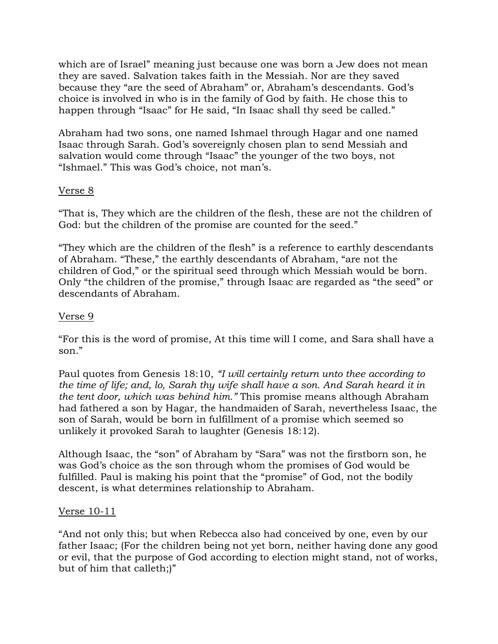which are of Israel" meaning just because one was born a Jew does not mean they are saved. Salvation takes faith in the Messiah. Nor are they saved because they "are the seed of Abraham" or, Abraham's descendants. God's choice is involved in who is in the family of God by faith. He chose this to happen through "Isaac" for He said, "In Isaac shall thy seed be called."

Abraham had two sons, one named Ishmael through Hagar and one named Isaac through Sarah. God's sovereignly chosen plan to send Messiah and salvation would come through "Isaac" the younger of the two boys, not "Ishmael." This was God's choice, not man's.

### Verse 8

"That is, They which are the children of the flesh, these are not the children of God: but the children of the promise are counted for the seed."

"They which are the children of the flesh" is a reference to earthly descendants of Abraham. "These," the earthly descendants of Abraham, "are not the children of God," or the spiritual seed through which Messiah would be born. Only "the children of the promise," through Isaac are regarded as "the seed" or descendants of Abraham.

### Verse 9

"For this is the word of promise, At this time will I come, and Sara shall have a son."

Paul quotes from Genesis 18:10, *"I will certainly return unto thee according to the time of life; and, lo, Sarah thy wife shall have a son. And Sarah heard it in the tent door, which was behind him."* This promise means although Abraham had fathered a son by Hagar, the handmaiden of Sarah, nevertheless Isaac, the son of Sarah, would be born in fulfillment of a promise which seemed so unlikely it provoked Sarah to laughter (Genesis 18:12).

Although Isaac, the "son" of Abraham by "Sara" was not the firstborn son, he was God's choice as the son through whom the promises of God would be fulfilled. Paul is making his point that the "promise" of God, not the bodily descent, is what determines relationship to Abraham.

#### Verse 10-11

"And not only this; but when Rebecca also had conceived by one, even by our father Isaac; (For the children being not yet born, neither having done any good or evil, that the purpose of God according to election might stand, not of works, but of him that calleth;)"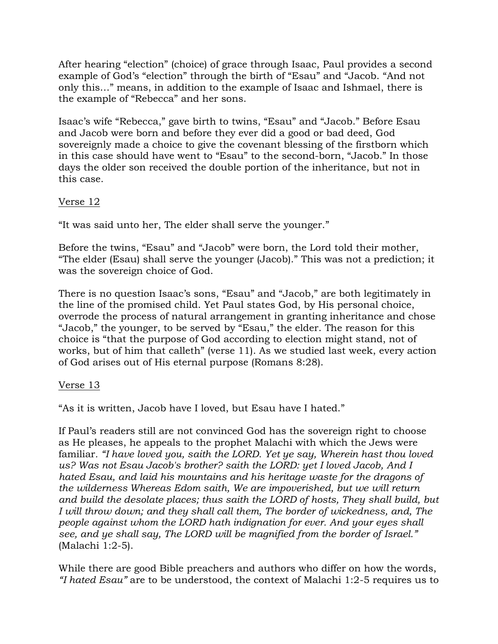After hearing "election" (choice) of grace through Isaac, Paul provides a second example of God's "election" through the birth of "Esau" and "Jacob. "And not only this…" means, in addition to the example of Isaac and Ishmael, there is the example of "Rebecca" and her sons.

Isaac's wife "Rebecca," gave birth to twins, "Esau" and "Jacob." Before Esau and Jacob were born and before they ever did a good or bad deed, God sovereignly made a choice to give the covenant blessing of the firstborn which in this case should have went to "Esau" to the second-born, "Jacob." In those days the older son received the double portion of the inheritance, but not in this case.

# Verse 12

"It was said unto her, The elder shall serve the younger."

Before the twins, "Esau" and "Jacob" were born, the Lord told their mother, "The elder (Esau) shall serve the younger (Jacob)." This was not a prediction; it was the sovereign choice of God.

There is no question Isaac's sons, "Esau" and "Jacob," are both legitimately in the line of the promised child. Yet Paul states God, by His personal choice, overrode the process of natural arrangement in granting inheritance and chose "Jacob," the younger, to be served by "Esau," the elder. The reason for this choice is "that the purpose of God according to election might stand, not of works, but of him that calleth" (verse 11). As we studied last week, every action of God arises out of His eternal purpose (Romans 8:28).

#### Verse 13

"As it is written, Jacob have I loved, but Esau have I hated."

If Paul's readers still are not convinced God has the sovereign right to choose as He pleases, he appeals to the prophet Malachi with which the Jews were familiar*. "I have loved you, saith the LORD. Yet ye say, Wherein hast thou loved us? Was not Esau Jacob's brother? saith the LORD: yet I loved Jacob, And I hated Esau, and laid his mountains and his heritage waste for the dragons of the wilderness Whereas Edom saith, We are impoverished, but we will return and build the desolate places; thus saith the LORD of hosts, They shall build, but I will throw down; and they shall call them, The border of wickedness, and, The people against whom the LORD hath indignation for ever. And your eyes shall see, and ye shall say, The LORD will be magnified from the border of Israel."*  (Malachi 1:2-5).

While there are good Bible preachers and authors who differ on how the words, *"I hated Esau"* are to be understood, the context of Malachi 1:2-5 requires us to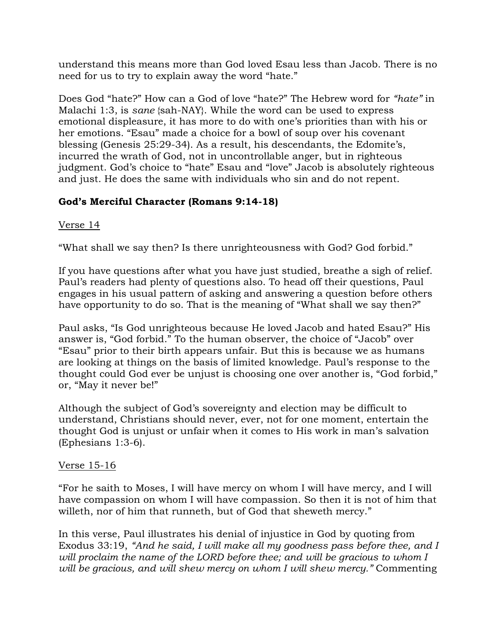understand this means more than God loved Esau less than Jacob. There is no need for us to try to explain away the word "hate."

Does God "hate?" How can a God of love "hate?" The Hebrew word for *"hate"* in Malachi 1:3, is *sane* {sah-NAY}. While the word can be used to express emotional displeasure, it has more to do with one's priorities than with his or her emotions. "Esau" made a choice for a bowl of soup over his covenant blessing (Genesis 25:29-34). As a result, his descendants, the Edomite's, incurred the wrath of God, not in uncontrollable anger, but in righteous judgment. God's choice to "hate" Esau and "love" Jacob is absolutely righteous and just. He does the same with individuals who sin and do not repent.

# **God's Merciful Character (Romans 9:14-18)**

# Verse 14

"What shall we say then? Is there unrighteousness with God? God forbid."

If you have questions after what you have just studied, breathe a sigh of relief. Paul's readers had plenty of questions also. To head off their questions, Paul engages in his usual pattern of asking and answering a question before others have opportunity to do so. That is the meaning of "What shall we say then?"

Paul asks, "Is God unrighteous because He loved Jacob and hated Esau?" His answer is, "God forbid." To the human observer, the choice of "Jacob" over "Esau" prior to their birth appears unfair. But this is because we as humans are looking at things on the basis of limited knowledge. Paul's response to the thought could God ever be unjust is choosing one over another is, "God forbid," or, "May it never be!"

Although the subject of God's sovereignty and election may be difficult to understand, Christians should never, ever, not for one moment, entertain the thought God is unjust or unfair when it comes to His work in man's salvation (Ephesians 1:3-6).

# Verse 15-16

"For he saith to Moses, I will have mercy on whom I will have mercy, and I will have compassion on whom I will have compassion. So then it is not of him that willeth, nor of him that runneth, but of God that sheweth mercy."

In this verse, Paul illustrates his denial of injustice in God by quoting from Exodus 33:19, *"And he said, I will make all my goodness pass before thee, and I will proclaim the name of the LORD before thee; and will be gracious to whom I will be gracious, and will shew mercy on whom I will shew mercy."* Commenting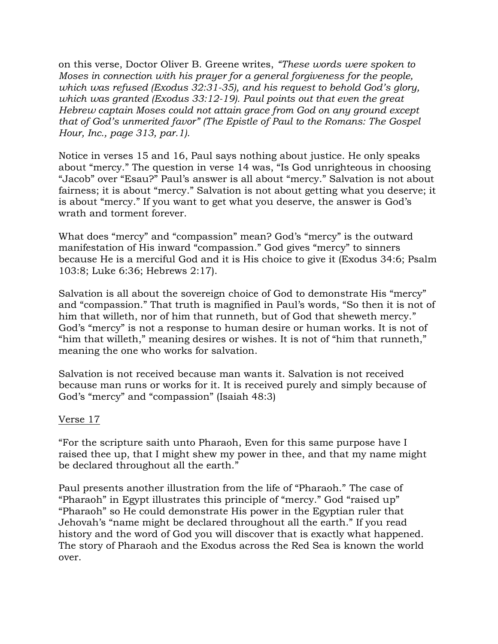on this verse, Doctor Oliver B. Greene writes, *"These words were spoken to Moses in connection with his prayer for a general forgiveness for the people, which was refused (Exodus 32:31-35), and his request to behold God's glory, which was granted (Exodus 33:12-19). Paul points out that even the great Hebrew captain Moses could not attain grace from God on any ground except that of God's unmerited favor" (The Epistle of Paul to the Romans: The Gospel Hour, Inc., page 313, par.1).* 

Notice in verses 15 and 16, Paul says nothing about justice. He only speaks about "mercy." The question in verse 14 was, "Is God unrighteous in choosing "Jacob" over "Esau?" Paul's answer is all about "mercy." Salvation is not about fairness; it is about "mercy." Salvation is not about getting what you deserve; it is about "mercy." If you want to get what you deserve, the answer is God's wrath and torment forever.

What does "mercy" and "compassion" mean? God's "mercy" is the outward manifestation of His inward "compassion." God gives "mercy" to sinners because He is a merciful God and it is His choice to give it (Exodus 34:6; Psalm 103:8; Luke 6:36; Hebrews 2:17).

Salvation is all about the sovereign choice of God to demonstrate His "mercy" and "compassion." That truth is magnified in Paul's words, "So then it is not of him that willeth, nor of him that runneth, but of God that sheweth mercy." God's "mercy" is not a response to human desire or human works. It is not of "him that willeth," meaning desires or wishes. It is not of "him that runneth," meaning the one who works for salvation.

Salvation is not received because man wants it. Salvation is not received because man runs or works for it. It is received purely and simply because of God's "mercy" and "compassion" (Isaiah 48:3)

#### Verse 17

"For the scripture saith unto Pharaoh, Even for this same purpose have I raised thee up, that I might shew my power in thee, and that my name might be declared throughout all the earth."

Paul presents another illustration from the life of "Pharaoh." The case of "Pharaoh" in Egypt illustrates this principle of "mercy." God "raised up" "Pharaoh" so He could demonstrate His power in the Egyptian ruler that Jehovah's "name might be declared throughout all the earth." If you read history and the word of God you will discover that is exactly what happened. The story of Pharaoh and the Exodus across the Red Sea is known the world over.